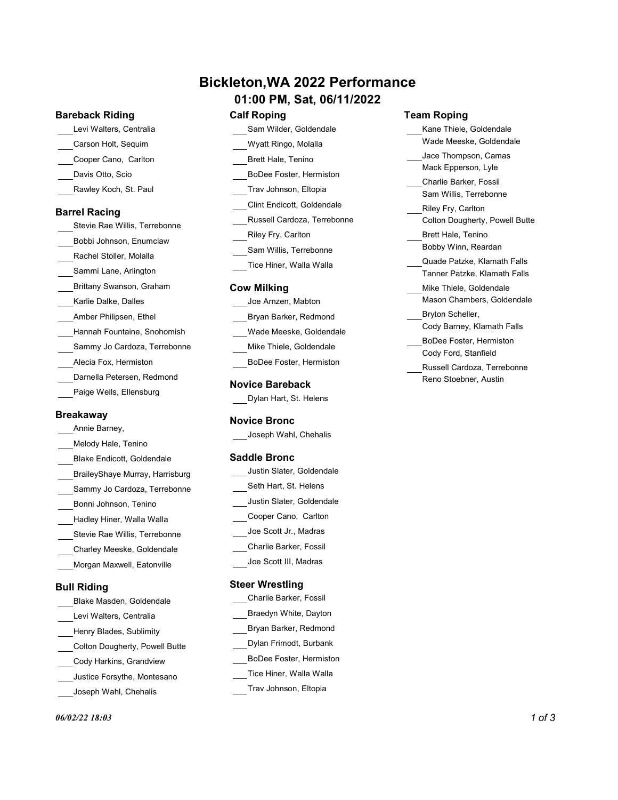# Bickleton,WA 2022 Performance

# 01:00 PM, Sat, 06/11/2022

### Bareback Riding

Levi Walters, Centralia **New York Sam Wilder**, Goldendale Carson Holt, Sequim Wyatt Ringo, Molalla Davis Otto, Scio BoDee Foster, Hermiston **Barrel Racing**<br>Russell Cardoza, Terrebonne Stevie Rae Willis, Terrebonne<br>
The Millis, Terrebonne<br>
Riley Fry, Carlton Brett Hale, Tenino Trav Johnson, Eltopia Clint Endicott, Goldendale Sam Willis, Terrebonne Tice Hiner, Walla Walla

### Cow Milking

| Joe Arnzen, Mabton                                 | Mason Chambers, Goldendale  |  |
|----------------------------------------------------|-----------------------------|--|
| Bryan Barker, Redmond                              | Bryton Scheller,            |  |
| Wade Meeske, Goldendale<br>Mike Thiele, Goldendale | Cody Barney, Klamath Falls  |  |
|                                                    | BoDee Foster, Hermiston     |  |
|                                                    | Cody Ford, Stanfield        |  |
| BoDee Foster, Hermiston                            | Russell Cardoza, Terrebonne |  |
| $\mathbf{r}$ . $\mathbf{r}$                        | Reno Stoebner, Austin       |  |

### Novice Bareback

| Dylan Hart, St. Helens |  |  |  |  |
|------------------------|--|--|--|--|
|------------------------|--|--|--|--|

### Novice Bronc

Joseph Wahl, Chehalis

### Saddle Bronc

| Justin Slater, Goldendale |  |
|---------------------------|--|
| Seth Hart, St. Helens     |  |
| Justin Slater, Goldendale |  |
| Cooper Cano, Carlton      |  |
| Joe Scott Jr., Madras     |  |
| Charlie Barker, Fossil    |  |
| Joe Scott III, Madras     |  |

### Steer Wrestling

- Charlie Barker, Fossil Braedyn White, Dayton Bryan Barker, Redmond Dylan Frimodt, Burbank BoDee Foster, Hermiston Tice Hiner, Walla Walla
- Trav Johnson, Eltopia
- 

Bull Riding

Cooper Cano, Carlton

Rawley Koch, St. Paul

Bobbi Johnson, Enumclaw Rachel Stoller, Molalla Sammi Lane, Arlington Brittany Swanson, Graham Karlie Dalke, Dalles Amber Philipsen, Ethel

Hannah Fountaine, Snohomish Sammy Jo Cardoza, Terrebonne

Alecia Fox, Hermiston Darnella Petersen, Redmond Paige Wells, Ellensburg

Bonni Johnson, Tenino Hadley Hiner, Walla Walla Stevie Rae Willis, Terrebonne Charley Meeske, Goldendale Morgan Maxwell, Eatonville

Blake Masden, Goldendale Levi Walters, Centralia Henry Blades, Sublimity Colton Dougherty, Powell Butte Cody Harkins, Grandview Justice Forsythe, Montesano Joseph Wahl, Chehalis

**Breakaway** 

Annie Barney, Melody Hale, Tenino Blake Endicott, Goldendale BraileyShaye Murray, Harrisburg Sammy Jo Cardoza, Terrebonne

### Calf Roping Team Roping

- Sam Wilder, Goldendale Kane Thiele, Goldendale Wade Meeske, Goldendale Jace Thompson, Camas
	- Mack Epperson, Lyle
	- Charlie Barker, Fossil Sam Willis, Terrebonne
- Russell Cardoza, Terrebonne Colton Dougherty, Powell Butte Riley Fry, Carlton
- Riley Fry, Carlton Brett Hale, Tenino Bobby Winn, Reardan
	- Quade Patzke, Klamath Falls Tanner Patzke, Klamath Falls
- Joe Arnzen, Mabton Mason Chambers, Goldendale Mike Thiele, Goldendale
- Wade Meeske, Goldendale Cody Barney, Klamath Falls
- Mike Thiele, Goldendale **Exercise Contract Contract Contract Contract Contract Contract Contract Contract Contract Contract Contract Contract Contract Contract Contract Contract Contract Contract Contract Contract Contract** BoDee Foster, Hermiston Cody Ford, Stanfield
	- Reno Stoebner, Austin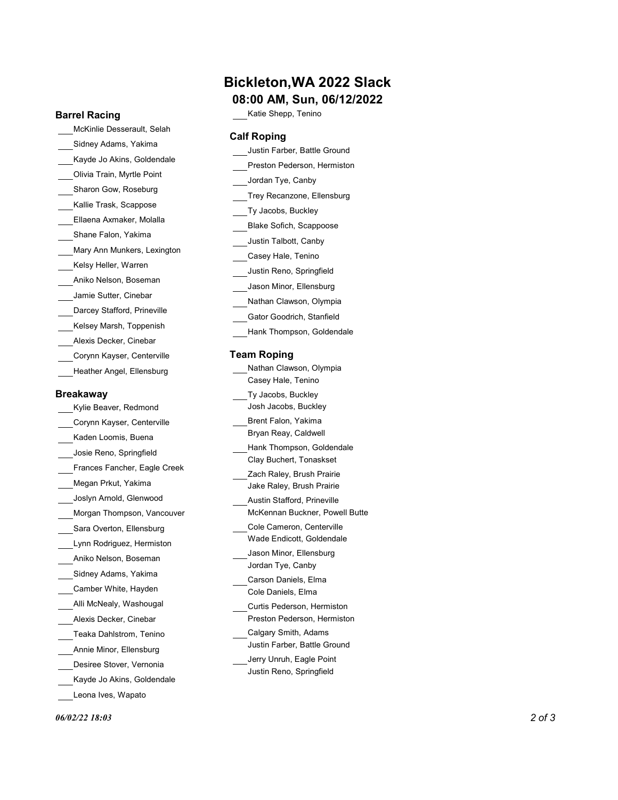### Barrel Racing

McKinlie Desserault, Selah Sidney Adams, Yakima Kayde Jo Akins, Goldendale Olivia Train, Myrtle Point Sharon Gow, Roseburg Kallie Trask, Scappose Ellaena Axmaker, Molalla Shane Falon, Yakima Mary Ann Munkers, Lexington Kelsy Heller, Warren Aniko Nelson, Boseman Jamie Sutter, Cinebar Darcey Stafford, Prineville Kelsey Marsh, Toppenish Alexis Decker, Cinebar Corynn Kayser, Centerville Heather Angel, Ellensburg

### **Breakaway**

Kylie Beaver, Redmond Corynn Kayser, Centerville Kaden Loomis, Buena Josie Reno, Springfield Frances Fancher, Eagle Creek Megan Prkut, Yakima Joslyn Arnold, Glenwood Morgan Thompson, Vancouver Sara Overton, Ellensburg Lynn Rodriguez, Hermiston Aniko Nelson, Boseman Sidney Adams, Yakima Camber White, Hayden Alli McNealy, Washougal Alexis Decker, Cinebar Teaka Dahlstrom, Tenino Annie Minor, Ellensburg Desiree Stover, Vernonia Kayde Jo Akins, Goldendale Leona Ives, Wapato

# Bickleton,WA 2022 Slack

# 08:00 AM, Sun, 06/12/2022

Katie Shepp, Tenino

### Calf Roping

| Justin Farber, Battle Ground                                        |  |
|---------------------------------------------------------------------|--|
| Preston Pederson, Hermiston                                         |  |
| Jordan Tye, Canby                                                   |  |
| Trey Recanzone, Ellensburg                                          |  |
| Ty Jacobs, Buckley                                                  |  |
| Blake Sofich, Scappoose                                             |  |
| Justin Talbott, Canby                                               |  |
| Casey Hale, Tenino                                                  |  |
| Justin Reno, Springfield                                            |  |
| Jason Minor, Ellensburg                                             |  |
| Nathan Clawson, Olympia                                             |  |
| Gator Goodrich, Stanfield                                           |  |
| Hank Thompson, Goldendale                                           |  |
| <b>Team Roping</b><br>Nathan Clawson, Olympia<br>Casey Hale, Tenino |  |
| Ty Jacobs, Buckley<br>Josh Jacobs, Buckley                          |  |
| Brent Falon, Yakima<br>Bryan Reay, Caldwell                         |  |
| Hank Thompson, Goldendale<br>Clay Buchert, Tonaskset                |  |
| Zach Raley, Brush Prairie<br>Jake Raley, Brush Prairie              |  |
| Austin Stafford, Prineville<br>McKennan Buckner, Powell Butte       |  |
| Cole Cameron, Centerville<br>Wade Endicott, Goldendale              |  |
| Jason Minor, Ellensburg                                             |  |

Carson Daniels, Elma Cole Daniels, Elma

Curtis Pederson, Hermiston Preston Pederson, Hermiston

Calgary Smith, Adams Justin Farber, Battle Ground

Jerry Unruh, Eagle Point Justin Reno, Springfield